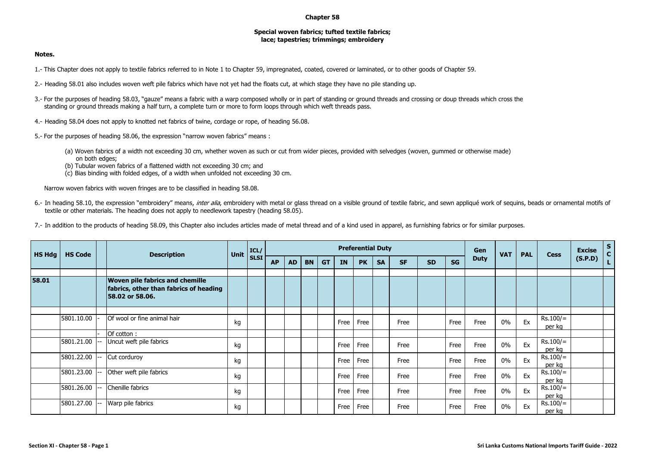## **Chapter 58**

## **Special woven fabrics; tufted textile fabrics; lace; tapestries; trimmings; embroidery**

## **Notes.**

- 1.- This Chapter does not apply to textile fabrics referred to in Note 1 to Chapter 59, impregnated, coated, covered or laminated, or to other goods of Chapter 59.
- 2.- Heading 58.01 also includes woven weft pile fabrics which have not yet had the floats cut, at which stage they have no pile standing up.
- 3.- For the purposes of heading 58.03, "gauze" means a fabric with a warp composed wholly or in part of standing or ground threads and crossing or doup threads which cross the standing or ground threads making a half turn, a complete turn or more to form loops through which weft threads pass.
- 4.- Heading 58.04 does not apply to knotted net fabrics of twine, cordage or rope, of heading 56.08.
- 5.- For the purposes of heading 58.06, the expression "narrow woven fabrics" means :
	- (a) Woven fabrics of a width not exceeding 30 cm, whether woven as such or cut from wider pieces, provided with selvedges (woven, gummed or otherwise made) on both edges;
	- (b) Tubular woven fabrics of a flattened width not exceeding 30 cm; and
	- (c) Bias binding with folded edges, of a width when unfolded not exceeding 30 cm.

Narrow woven fabrics with woven fringes are to be classified in heading 58.08.

- 6.- In heading 58.10, the expression "embroidery" means, inter alia, embroidery with metal or glass thread on a visible ground of textile fabric, and sewn appliqué work of sequins, beads or ornamental motifs of textile or other materials. The heading does not apply to needlework tapestry (heading 58.05).
- 7.- In addition to the products of heading 58.09, this Chapter also includes articles made of metal thread and of a kind used in apparel, as furnishing fabrics or for similar purposes.

| <b>HS Hdg</b> | <b>HS Code</b> | <b>Description</b>                                                                           | Unit | ICL/        |           |           |           |           |           | <b>Preferential Duty</b> |           |           |           | Gen       | <b>VAT</b>  | <b>PAL</b> | <b>Cess</b> | <b>Excise</b>        | $\mathsf{S}$<br>$\mathbf{c}$ |  |
|---------------|----------------|----------------------------------------------------------------------------------------------|------|-------------|-----------|-----------|-----------|-----------|-----------|--------------------------|-----------|-----------|-----------|-----------|-------------|------------|-------------|----------------------|------------------------------|--|
|               |                |                                                                                              |      | <b>SLSI</b> | <b>AP</b> | <b>AD</b> | <b>BN</b> | <b>GT</b> | <b>IN</b> | <b>PK</b>                | <b>SA</b> | <b>SF</b> | <b>SD</b> | <b>SG</b> | <b>Duty</b> |            |             |                      | (S.P.D)                      |  |
| 58.01         |                | Woven pile fabrics and chemille<br>fabrics, other than fabrics of heading<br>58.02 or 58.06. |      |             |           |           |           |           |           |                          |           |           |           |           |             |            |             |                      |                              |  |
|               | 5801.10.00     | Of wool or fine animal hair                                                                  | kg   |             |           |           |           |           | Free      | Free                     |           | Free      |           | Free      | Free        | $0\%$      | Ex          | $Rs.100/=$<br>per kg |                              |  |
|               |                | Of cotton:                                                                                   |      |             |           |           |           |           |           |                          |           |           |           |           |             |            |             |                      |                              |  |
|               | 5801.21.00     | Uncut weft pile fabrics                                                                      | kg   |             |           |           |           |           | Free      | Free                     |           | Free      |           | Free      | Free        | 0%         | Ex          | $Rs.100/=$<br>per kg |                              |  |
|               | 5801.22.00     | Cut corduroy                                                                                 | kg   |             |           |           |           |           | Free      | Free                     |           | Free      |           | Free      | Free        | 0%         | Ex          | $Rs.100/=$<br>per kg |                              |  |
|               | 5801.23.00     | Other weft pile fabrics                                                                      | kg   |             |           |           |           |           | Free      | Free                     |           | Free      |           | Free      | Free        | $0\%$      | Ex          | $Rs.100/=$<br>per kg |                              |  |
|               | 5801.26.00     | Chenille fabrics                                                                             | kg   |             |           |           |           |           | Free      | Free                     |           | Free      |           | Free      | Free        | 0%         | Ex          | $Rs.100/=$<br>per kg |                              |  |
|               | 5801.27.00     | Warp pile fabrics                                                                            | kg   |             |           |           |           |           | Free      | Free                     |           | Free      |           | Free      | Free        | 0%         | Ex          | $Rs.100/=$<br>per kg |                              |  |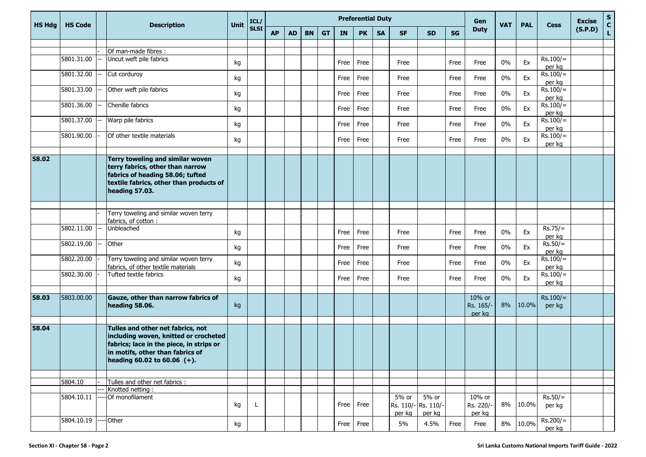| <b>HS Hdg</b> | <b>HS Code</b> | <b>Description</b>                                                                                                                                                                            | Unit | ICL/<br><b>SLSI</b> | <b>Preferential Duty</b> |           |           |           |           |           |           |                 |                                       |           |                               | <b>VAT</b> | <b>PAL</b> | <b>Cess</b>          | <b>Excise</b> | $\frac{{\sf s}}{{\sf c}}$ |
|---------------|----------------|-----------------------------------------------------------------------------------------------------------------------------------------------------------------------------------------------|------|---------------------|--------------------------|-----------|-----------|-----------|-----------|-----------|-----------|-----------------|---------------------------------------|-----------|-------------------------------|------------|------------|----------------------|---------------|---------------------------|
|               |                |                                                                                                                                                                                               |      |                     | <b>AP</b>                | <b>AD</b> | <b>BN</b> | <b>GT</b> | <b>IN</b> | <b>PK</b> | <b>SA</b> | <b>SF</b>       | <b>SD</b>                             | <b>SG</b> | <b>Duty</b>                   |            |            |                      | (S.P.D)       | $\mathbf L$               |
|               |                |                                                                                                                                                                                               |      |                     |                          |           |           |           |           |           |           |                 |                                       |           |                               |            |            |                      |               |                           |
|               | 5801.31.00     | Of man-made fibres :<br>Uncut weft pile fabrics                                                                                                                                               |      |                     |                          |           |           |           |           |           |           |                 |                                       |           |                               |            |            | $Rs.100/=$           |               |                           |
|               |                |                                                                                                                                                                                               | kg   |                     |                          |           |           |           | Free      | Free      |           | Free            |                                       | Free      | Free                          | 0%         | Ex         | per kg               |               |                           |
|               | 5801.32.00     | Cut corduroy                                                                                                                                                                                  | kg   |                     |                          |           |           |           | Free      | Free      |           | Free            |                                       | Free      | Free                          | 0%         | Ex         | $Rs.100/=$<br>per kg |               |                           |
|               | 5801.33.00     | Other weft pile fabrics                                                                                                                                                                       | kg   |                     |                          |           |           |           | Free      | Free      |           | Free            |                                       | Free      | Free                          | $0\%$      | Ex         | $Rs.100/=$<br>per kg |               |                           |
|               | 5801.36.00     | Chenille fabrics                                                                                                                                                                              | kg   |                     |                          |           |           |           | Free      | Free      |           | Free            |                                       | Free      | Free                          | $0\%$      | Ex         | $Rs.100/=$<br>per kg |               |                           |
|               | 5801.37.00     | Warp pile fabrics                                                                                                                                                                             | kg   |                     |                          |           |           |           | Free      | Free      |           | Free            |                                       | Free      | Free                          | 0%         | Ex         | $Rs.100/=$<br>per kg |               |                           |
|               | 5801.90.00     | Of other textile materials                                                                                                                                                                    | kg   |                     |                          |           |           |           | Free      | Free      |           | Free            |                                       | Free      | Free                          | $0\%$      | Ex         | $Rs.100/=$<br>per kg |               |                           |
| 58.02         |                | Terry toweling and similar woven<br>terry fabrics, other than narrow<br>fabrics of heading 58.06; tufted<br>textile fabrics, other than products of<br>heading 57.03.                         |      |                     |                          |           |           |           |           |           |           |                 |                                       |           |                               |            |            |                      |               |                           |
|               |                |                                                                                                                                                                                               |      |                     |                          |           |           |           |           |           |           |                 |                                       |           |                               |            |            |                      |               |                           |
|               |                | Terry toweling and similar woven terry<br>fabrics, of cotton :                                                                                                                                |      |                     |                          |           |           |           |           |           |           |                 |                                       |           |                               |            |            |                      |               |                           |
|               | 5802.11.00     | Unbleached                                                                                                                                                                                    | kg   |                     |                          |           |           |           | Free      | Free      |           | Free            |                                       | Free      | Free                          | 0%         | Ex         | $Rs.75/=$<br>per kg  |               |                           |
|               | 5802.19.00     | Other                                                                                                                                                                                         | kg   |                     |                          |           |           |           | Free      | Free      |           | Free            |                                       | Free      | Free                          | $0\%$      | Ex         | $Rs.50/=$<br>per kg  |               |                           |
|               | 5802.20.00     | Terry toweling and similar woven terry<br>fabrics, of other textile materials                                                                                                                 | kg   |                     |                          |           |           |           | Free      | Free      |           | Free            |                                       | Free      | Free                          | $0\%$      | Ex         | $Rs.100/=$<br>per kg |               |                           |
|               | 5802.30.00     | Tufted textile fabrics                                                                                                                                                                        | kg   |                     |                          |           |           |           | Free      | Free      |           | Free            |                                       | Free      | Free                          | 0%         | Ex         | $Rs.100/=$<br>per kg |               |                           |
| 58.03         | 5803.00.00     | Gauze, other than narrow fabrics of<br>heading 58.06.                                                                                                                                         | kg   |                     |                          |           |           |           |           |           |           |                 |                                       |           | 10% or<br>Rs. 165/-<br>per kg | 8%         | 10.0%      | $Rs.100/=$<br>per kg |               |                           |
| 58.04         |                | Tulles and other net fabrics, not<br>including woven, knitted or crocheted<br>fabrics; lace in the piece, in strips or<br>in motifs, other than fabrics of<br>heading $60.02$ to $60.06$ (+). |      |                     |                          |           |           |           |           |           |           |                 |                                       |           |                               |            |            |                      |               |                           |
|               |                |                                                                                                                                                                                               |      |                     |                          |           |           |           |           |           |           |                 |                                       |           |                               |            |            |                      |               |                           |
|               | 5804.10        | Tulles and other net fabrics :<br>Knotted netting:                                                                                                                                            |      |                     |                          |           |           |           |           |           |           |                 |                                       |           |                               |            |            |                      |               |                           |
|               | 5804.10.11     | Of monofilament                                                                                                                                                                               | kg   | -L                  |                          |           |           |           | Free      | Free      |           | 5% or<br>per kg | 5% or<br>Rs. 110/-Rs. 110/-<br>per kg |           | 10% or<br>Rs. 220/-<br>per kg | 8%         | 10.0%      | $Rs.50/=$<br>per kg  |               |                           |
|               | 5804.10.19     | <b>Other</b>                                                                                                                                                                                  | kg   |                     |                          |           |           |           | Free      | Free      |           | 5%              | 4.5%                                  | Free      | Free                          | 8%         | 10.0%      | $Rs.200/=$<br>per kg |               |                           |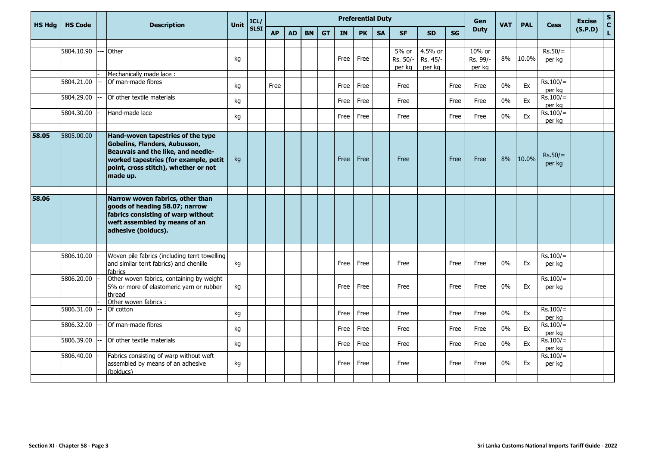| <b>HS Hda</b> | <b>HS Code</b> | <b>Description</b>                                                                                                                                                                                    | Unit | ICL/        | <b>Preferential Duty</b> |           |           |           |             |           |           |                               |                               |           | Gen                          | <b>VAT</b> | <b>PAL</b> | <b>Cess</b>          | <b>Excise</b> | $\mathbf S$<br>$\mathbf{C}$ |
|---------------|----------------|-------------------------------------------------------------------------------------------------------------------------------------------------------------------------------------------------------|------|-------------|--------------------------|-----------|-----------|-----------|-------------|-----------|-----------|-------------------------------|-------------------------------|-----------|------------------------------|------------|------------|----------------------|---------------|-----------------------------|
|               |                |                                                                                                                                                                                                       |      | <b>SLSI</b> | <b>AP</b>                | <b>AD</b> | <b>BN</b> | <b>GT</b> | <b>IN</b>   | <b>PK</b> | <b>SA</b> | <b>SF</b>                     | <b>SD</b>                     | <b>SG</b> | <b>Duty</b>                  |            |            |                      | (S.P.D)       | $\mathbf L$                 |
|               | 5804.10.90     | Other                                                                                                                                                                                                 | kg   |             |                          |           |           |           | Free        | Free      |           | $5%$ or<br>Rs. 50/-<br>per kg | 4.5% or<br>Rs. 45/-<br>per kg |           | 10% or<br>Rs. 99/-<br>per kg | 8%         | 10.0%      | $Rs.50/=$<br>per kg  |               |                             |
|               |                | Mechanically made lace:                                                                                                                                                                               |      |             |                          |           |           |           |             |           |           |                               |                               |           |                              |            |            |                      |               |                             |
|               | 5804.21.00     | Of man-made fibres                                                                                                                                                                                    | kg   |             | Free                     |           |           |           | Free        | Free      |           | Free                          |                               | Free      | Free                         | 0%         | Ex         | $Rs.100/=$<br>per kg |               |                             |
|               | 5804.29.00     | Of other textile materials                                                                                                                                                                            |      |             |                          |           |           |           | Free        | Free      |           | Free                          |                               | Free      | Free                         | $0\%$      | Ex         | $Rs.100/=$<br>per kg |               |                             |
|               | 5804.30.00     | Hand-made lace                                                                                                                                                                                        | kg   |             |                          |           |           |           | Free        | Free      |           | Free                          |                               | Free      | Free                         | $0\%$      | Ex         | $Rs.100/=$<br>per kg |               |                             |
|               |                |                                                                                                                                                                                                       |      |             |                          |           |           |           |             |           |           |                               |                               |           |                              |            |            |                      |               |                             |
| 58.05         | 5805.00.00     | Hand-woven tapestries of the type<br>Gobelins, Flanders, Aubusson,<br>Beauvais and the like, and needle-<br>worked tapestries (for example, petit<br>point, cross stitch), whether or not<br>made up. | kg   |             |                          |           |           |           | <b>Free</b> | Free      |           | Free                          |                               | Free      | Free                         | 8%         | 10.0%      | $Rs.50/=$<br>per kg  |               |                             |
| 58.06         |                | Narrow woven fabrics, other than<br>goods of heading 58.07; narrow<br>fabrics consisting of warp without<br>weft assembled by means of an<br>adhesive (bolducs).                                      |      |             |                          |           |           |           |             |           |           |                               |                               |           |                              |            |            |                      |               |                             |
|               |                |                                                                                                                                                                                                       |      |             |                          |           |           |           |             |           |           |                               |                               |           |                              |            |            |                      |               |                             |
|               | 5806.10.00     | Woven pile fabrics (including terrt towelling<br>and similar terrt fabrics) and chenille<br>fabrics                                                                                                   | kg   |             |                          |           |           |           | Free        | Free      |           | Free                          |                               | Free      | Free                         | 0%         | Ex         | $Rs.100/=$<br>per kg |               |                             |
|               | 5806.20.00     | Other woven fabrics, containing by weight<br>5% or more of elastomeric yarn or rubber<br>thread                                                                                                       | kg   |             |                          |           |           |           | Free        | Free      |           | Free                          |                               | Free      | Free                         | $0\%$      | Ex         | $Rs.100/=$<br>per kg |               |                             |
|               |                | Other woven fabrics :                                                                                                                                                                                 |      |             |                          |           |           |           |             |           |           |                               |                               |           |                              |            |            |                      |               |                             |
|               | 5806.31.00     | Of cotton                                                                                                                                                                                             | kg   |             |                          |           |           |           | Free        | Free      |           | Free                          |                               | Free      | Free                         | 0%         | Ex         | $Rs.100/=$<br>per kg |               |                             |
|               | 5806.32.00     | Of man-made fibres                                                                                                                                                                                    | kg   |             |                          |           |           |           | Free        | Free      |           | Free                          |                               | Free      | Free                         | $0\%$      | Ex         | $Rs.100/=$<br>per kg |               |                             |
|               | 5806.39.00     | Of other textile materials                                                                                                                                                                            | kg   |             |                          |           |           |           | Free        | Free      |           | Free                          |                               | Free      | Free                         | 0%         | Ex         | $Rs.100/=$<br>per kg |               |                             |
|               | 5806.40.00     | Fabrics consisting of warp without weft<br>assembled by means of an adhesive<br>(bolducs)                                                                                                             | kg   |             |                          |           |           |           | Free        | Free      |           | Free                          |                               | Free      | Free                         | $0\%$      | Ex         | $Rs.100/=$<br>per kg |               |                             |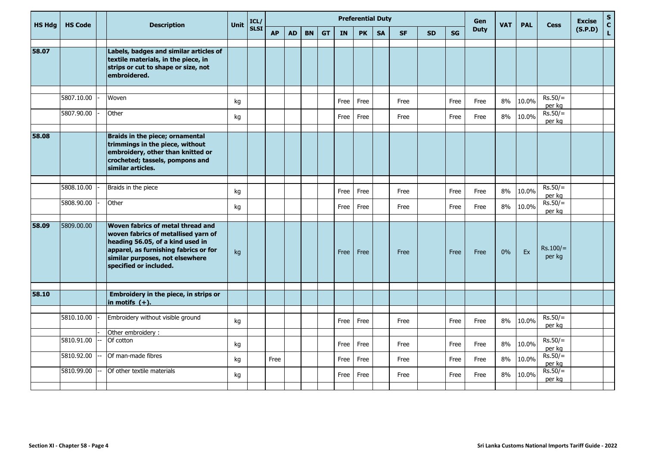| <b>HS Hdg</b> | <b>HS Code</b> | <b>Description</b>                                                                                                                                                                                                 | <b>Unit</b> | ICL/        | <b>Preferential Duty</b> |           |           |           |           |           |           |           |           |           |             | <b>VAT</b> | <b>PAL</b> | <b>Cess</b>                   | <b>Excise</b> | ${\sf s}$     |
|---------------|----------------|--------------------------------------------------------------------------------------------------------------------------------------------------------------------------------------------------------------------|-------------|-------------|--------------------------|-----------|-----------|-----------|-----------|-----------|-----------|-----------|-----------|-----------|-------------|------------|------------|-------------------------------|---------------|---------------|
|               |                |                                                                                                                                                                                                                    |             | <b>SLSI</b> | <b>AP</b>                | <b>AD</b> | <b>BN</b> | <b>GT</b> | <b>IN</b> | <b>PK</b> | <b>SA</b> | <b>SF</b> | <b>SD</b> | <b>SG</b> | <b>Duty</b> |            |            |                               | (S.P.D)       | $\frac{c}{L}$ |
| 58.07         |                | Labels, badges and similar articles of<br>textile materials, in the piece, in<br>strips or cut to shape or size, not<br>embroidered.                                                                               |             |             |                          |           |           |           |           |           |           |           |           |           |             |            |            |                               |               |               |
|               | 5807.10.00     | Woven                                                                                                                                                                                                              | kg          |             |                          |           |           |           | Free      | Free      |           | Free      |           | Free      | Free        | 8%         | 10.0%      | $Rs.50/=$<br>per kg           |               |               |
|               | 5807.90.00     | Other                                                                                                                                                                                                              | kg          |             |                          |           |           |           | Free      | Free      |           | Free      |           | Free      | Free        | 8%         | 10.0%      | $Rs.50/=$<br>per kg           |               |               |
| 58.08         |                | Braids in the piece; ornamental<br>trimmings in the piece, without<br>embroidery, other than knitted or<br>crocheted; tassels, pompons and<br>similar articles.                                                    |             |             |                          |           |           |           |           |           |           |           |           |           |             |            |            |                               |               |               |
|               | 5808.10.00     | Braids in the piece                                                                                                                                                                                                | kg          |             |                          |           |           |           | Free      | Free      |           | Free      |           | Free      | Free        | 8%         | 10.0%      | $Rs.50/=$                     |               |               |
|               | 5808.90.00     | Other                                                                                                                                                                                                              | kg          |             |                          |           |           |           | Free      | Free      |           | Free      |           | Free      | Free        | 8%         | 10.0%      | per kg<br>$Rs.50/=$<br>per kg |               |               |
| 58.09         | 5809.00.00     | Woven fabrics of metal thread and<br>woven fabrics of metallised yarn of<br>heading 56.05, of a kind used in<br>apparel, as furnishing fabrics or for<br>similar purposes, not elsewhere<br>specified or included. | kg          |             |                          |           |           |           | Free      | Free      |           | Free      |           | Free      | Free        | 0%         | Ex         | $Rs.100/=$<br>per kg          |               |               |
| 58.10         |                | Embroidery in the piece, in strips or<br>in motifs $(+)$ .                                                                                                                                                         |             |             |                          |           |           |           |           |           |           |           |           |           |             |            |            |                               |               |               |
|               | 5810.10.00     | Embroidery without visible ground                                                                                                                                                                                  | kg          |             |                          |           |           |           | Free      | Free      |           | Free      |           | Free      | Free        | 8%         | 10.0%      | $Rs.50/=$<br>per kg           |               |               |
|               | 5810.91.00     | Other embroidery:<br>Of cotton                                                                                                                                                                                     | kg          |             |                          |           |           |           | Free      | Free      |           | Free      |           | Free      | Free        | 8%         | 10.0%      | $Rs.50/=$<br>per kg           |               |               |
|               | 5810.92.00     | Of man-made fibres                                                                                                                                                                                                 | kg          |             | Free                     |           |           |           | Free      | Free      |           | Free      |           | Free      | Free        | 8%         | 10.0%      | $Rs.50/=$<br>per kg           |               |               |
|               | 5810.99.00     | Of other textile materials                                                                                                                                                                                         | kg          |             |                          |           |           |           | Free      | Free      |           | Free      |           | Free      | Free        | 8%         | 10.0%      | $Rs.50/=$<br>per kg           |               |               |
|               |                |                                                                                                                                                                                                                    |             |             |                          |           |           |           |           |           |           |           |           |           |             |            |            |                               |               |               |